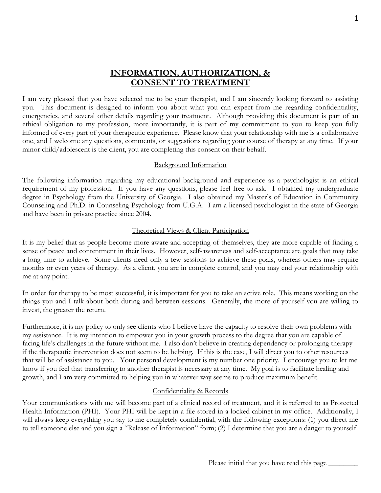# **INFORMATION, AUTHORIZATION, & CONSENT TO TREATMENT**

I am very pleased that you have selected me to be your therapist, and I am sincerely looking forward to assisting you. This document is designed to inform you about what you can expect from me regarding confidentiality, emergencies, and several other details regarding your treatment. Although providing this document is part of an ethical obligation to my profession, more importantly, it is part of my commitment to you to keep you fully informed of every part of your therapeutic experience. Please know that your relationship with me is a collaborative one, and I welcome any questions, comments, or suggestions regarding your course of therapy at any time. If your minor child/adolescent is the client, you are completing this consent on their behalf.

#### Background Information

The following information regarding my educational background and experience as a psychologist is an ethical requirement of my profession. If you have any questions, please feel free to ask. I obtained my undergraduate degree in Psychology from the University of Georgia. I also obtained my Master's of Education in Community Counseling and Ph.D. in Counseling Psychology from U.G.A. I am a licensed psychologist in the state of Georgia and have been in private practice since 2004.

#### Theoretical Views & Client Participation

It is my belief that as people become more aware and accepting of themselves, they are more capable of finding a sense of peace and contentment in their lives. However, self-awareness and self-acceptance are goals that may take a long time to achieve. Some clients need only a few sessions to achieve these goals, whereas others may require months or even years of therapy. As a client, you are in complete control, and you may end your relationship with me at any point.

In order for therapy to be most successful, it is important for you to take an active role. This means working on the things you and I talk about both during and between sessions. Generally, the more of yourself you are willing to invest, the greater the return.

Furthermore, it is my policy to only see clients who I believe have the capacity to resolve their own problems with my assistance. It is my intention to empower you in your growth process to the degree that you are capable of facing life's challenges in the future without me. I also don't believe in creating dependency or prolonging therapy if the therapeutic intervention does not seem to be helping. If this is the case, I will direct you to other resources that will be of assistance to you. Your personal development is my number one priority. I encourage you to let me know if you feel that transferring to another therapist is necessary at any time. My goal is to facilitate healing and growth, and I am very committed to helping you in whatever way seems to produce maximum benefit.

#### Confidentiality & Records

Your communications with me will become part of a clinical record of treatment, and it is referred to as Protected Health Information (PHI). Your PHI will be kept in a file stored in a locked cabinet in my office. Additionally, I will always keep everything you say to me completely confidential, with the following exceptions: (1) you direct me to tell someone else and you sign a "Release of Information" form; (2) I determine that you are a danger to yourself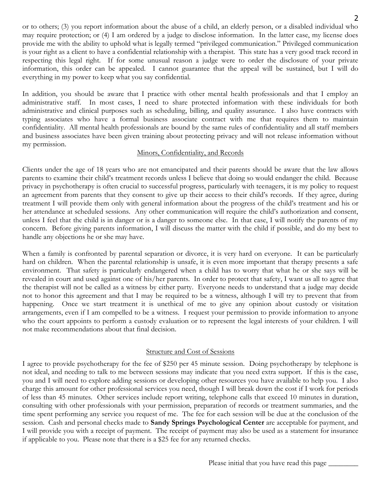or to others; (3) you report information about the abuse of a child, an elderly person, or a disabled individual who may require protection; or (4) I am ordered by a judge to disclose information. In the latter case, my license does provide me with the ability to uphold what is legally termed "privileged communication." Privileged communication is your right as a client to have a confidential relationship with a therapist. This state has a very good track record in respecting this legal right. If for some unusual reason a judge were to order the disclosure of your private information, this order can be appealed. I cannot guarantee that the appeal will be sustained, but I will do everything in my power to keep what you say confidential.

In addition, you should be aware that I practice with other mental health professionals and that I employ an administrative staff. In most cases, I need to share protected information with these individuals for both administrative and clinical purposes such as scheduling, billing, and quality assurance. I also have contracts with typing associates who have a formal business associate contract with me that requires them to maintain confidentiality. All mental health professionals are bound by the same rules of confidentiality and all staff members and business associates have been given training about protecting privacy and will not release information without my permission.

#### Minors, Confidentiality, and Records

Clients under the age of 18 years who are not emancipated and their parents should be aware that the law allows parents to examine their child's treatment records unless I believe that doing so would endanger the child. Because privacy in psychotherapy is often crucial to successful progress, particularly with teenagers, it is my policy to request an agreement from parents that they consent to give up their access to their child's records. If they agree, during treatment I will provide them only with general information about the progress of the child's treatment and his or her attendance at scheduled sessions. Any other communication will require the child's authorization and consent, unless I feel that the child is in danger or is a danger to someone else. In that case, I will notify the parents of my concern. Before giving parents information, I will discuss the matter with the child if possible, and do my best to handle any objections he or she may have.

When a family is confronted by parental separation or divorce, it is very hard on everyone. It can be particularly hard on children. When the parental relationship is unsafe, it is even more important that therapy presents a safe environment. That safety is particularly endangered when a child has to worry that what he or she says will be revealed in court and used against one of his/her parents. In order to protect that safety, I want us all to agree that the therapist will not be called as a witness by either party. Everyone needs to understand that a judge may decide not to honor this agreement and that I may be required to be a witness, although I will try to prevent that from happening. Once we start treatment it is unethical of me to give any opinion about custody or visitation arrangements, even if I am compelled to be a witness. I request your permission to provide information to anyone who the court appoints to perform a custody evaluation or to represent the legal interests of your children. I will not make recommendations about that final decision.

#### Structure and Cost of Sessions

I agree to provide psychotherapy for the fee of \$250 per 45 minute session. Doing psychotherapy by telephone is not ideal, and needing to talk to me between sessions may indicate that you need extra support. If this is the case, you and I will need to explore adding sessions or developing other resources you have available to help you. I also charge this amount for other professional services you need, though I will break down the cost if I work for periods of less than 45 minutes. Other services include report writing, telephone calls that exceed 10 minutes in duration, consulting with other professionals with your permission, preparation of records or treatment summaries, and the time spent performing any service you request of me. The fee for each session will be due at the conclusion of the session. Cash and personal checks made to **Sandy Springs Psychological Center** are acceptable for payment, and I will provide you with a receipt of payment. The receipt of payment may also be used as a statement for insurance if applicable to you. Please note that there is a \$25 fee for any returned checks.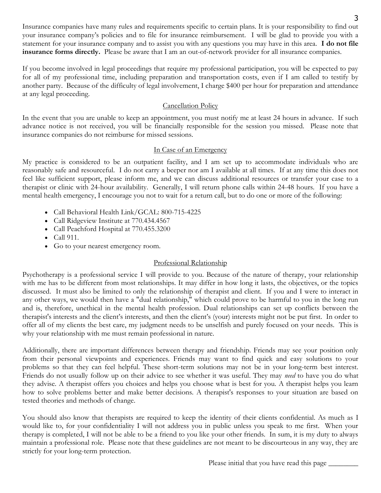Insurance companies have many rules and requirements specific to certain plans. It is your responsibility to find out your insurance company's policies and to file for insurance reimbursement. I will be glad to provide you with a statement for your insurance company and to assist you with any questions you may have in this area. **I do not file insurance forms directly.** Please be aware that I am an out-of-network provider for all insurance companies.

If you become involved in legal proceedings that require my professional participation, you will be expected to pay for all of my professional time, including preparation and transportation costs, even if I am called to testify by another party. Because of the difficulty of legal involvement, I charge \$400 per hour for preparation and attendance at any legal proceeding.

## Cancellation Policy

In the event that you are unable to keep an appointment, you must notify me at least 24 hours in advance. If such advance notice is not received, you will be financially responsible for the session you missed. Please note that insurance companies do not reimburse for missed sessions.

## In Case of an Emergency

My practice is considered to be an outpatient facility, and I am set up to accommodate individuals who are reasonably safe and resourceful. I do not carry a beeper nor am I available at all times. If at any time this does not feel like sufficient support, please inform me, and we can discuss additional resources or transfer your case to a therapist or clinic with 24-hour availability. Generally, I will return phone calls within 24-48 hours. If you have a mental health emergency, I encourage you not to wait for a return call, but to do one or more of the following:

- Call Behavioral Health Link/GCAL: 800-715-4225
- Call Ridgeview Institute at 770.434.4567
- Call Peachford Hospital at 770.455.3200
- Call 911.
- Go to your nearest emergency room.

## Professional Relationship

Psychotherapy is a professional service I will provide to you. Because of the nature of therapy, your relationship with me has to be different from most relationships. It may differ in how long it lasts, the objectives, or the topics discussed. It must also be limited to only the relationship of therapist and client. If you and I were to interact in any other ways, we would then have a "dual relationship," which could prove to be harmful to you in the long run and is, therefore, unethical in the mental health profession. Dual relationships can set up conflicts between the therapist's interests and the client's interests, and then the client's (your) interests might not be put first. In order to offer all of my clients the best care, my judgment needs to be unselfish and purely focused on your needs. This is why your relationship with me must remain professional in nature.

Additionally, there are important differences between therapy and friendship. Friends may see your position only from their personal viewpoints and experiences. Friends may want to find quick and easy solutions to your problems so that they can feel helpful. These short-term solutions may not be in your long-term best interest. Friends do not usually follow up on their advice to see whether it was useful. They may *need* to have you do what they advise. A therapist offers you choices and helps you choose what is best for you. A therapist helps you learn how to solve problems better and make better decisions. A therapist's responses to your situation are based on tested theories and methods of change.

You should also know that therapists are required to keep the identity of their clients confidential. As much as I would like to, for your confidentiality I will not address you in public unless you speak to me first. When your therapy is completed, I will not be able to be a friend to you like your other friends. In sum, it is my duty to always maintain a professional role. Please note that these guidelines are not meant to be discourteous in any way, they are strictly for your long-term protection.

Please initial that you have read this page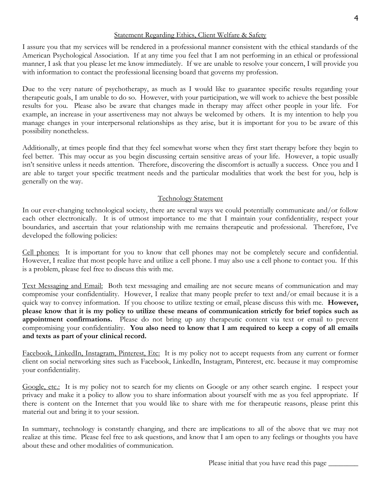I assure you that my services will be rendered in a professional manner consistent with the ethical standards of the American Psychological Association. If at any time you feel that I am not performing in an ethical or professional manner, I ask that you please let me know immediately. If we are unable to resolve your concern, I will provide you with information to contact the professional licensing board that governs my profession.

Due to the very nature of psychotherapy, as much as I would like to guarantee specific results regarding your therapeutic goals, I am unable to do so. However, with your participation, we will work to achieve the best possible results for you. Please also be aware that changes made in therapy may affect other people in your life. For example, an increase in your assertiveness may not always be welcomed by others. It is my intention to help you manage changes in your interpersonal relationships as they arise, but it is important for you to be aware of this possibility nonetheless.

Additionally, at times people find that they feel somewhat worse when they first start therapy before they begin to feel better. This may occur as you begin discussing certain sensitive areas of your life. However, a topic usually isn't sensitive unless it needs attention. Therefore, discovering the discomfort is actually a success. Once you and I are able to target your specific treatment needs and the particular modalities that work the best for you, help is generally on the way.

## Technology Statement

In our ever-changing technological society, there are several ways we could potentially communicate and/or follow each other electronically. It is of utmost importance to me that I maintain your confidentiality, respect your boundaries, and ascertain that your relationship with me remains therapeutic and professional. Therefore, I've developed the following policies:

Cell phones: It is important for you to know that cell phones may not be completely secure and confidential. However, I realize that most people have and utilize a cell phone. I may also use a cell phone to contact you. If this is a problem, please feel free to discuss this with me.

Text Messaging and Email: Both text messaging and emailing are not secure means of communication and may compromise your confidentiality. However, I realize that many people prefer to text and/or email because it is a quick way to convey information. If you choose to utilize texting or email, please discuss this with me. **However, please know that it is my policy to utilize these means of communication strictly for brief topics such as appointment confirmations.** Please do not bring up any therapeutic content via text or email to prevent compromising your confidentiality. **You also need to know that I am required to keep a copy of all emails and texts as part of your clinical record.** 

Facebook, LinkedIn, Instagram, Pinterest, Etc: It is my policy not to accept requests from any current or former client on social networking sites such as Facebook, LinkedIn, Instagram, Pinterest, etc. because it may compromise your confidentiality.

Google, etc.: It is my policy not to search for my clients on Google or any other search engine. I respect your privacy and make it a policy to allow you to share information about yourself with me as you feel appropriate. If there is content on the Internet that you would like to share with me for therapeutic reasons, please print this material out and bring it to your session.

In summary, technology is constantly changing, and there are implications to all of the above that we may not realize at this time. Please feel free to ask questions, and know that I am open to any feelings or thoughts you have about these and other modalities of communication.